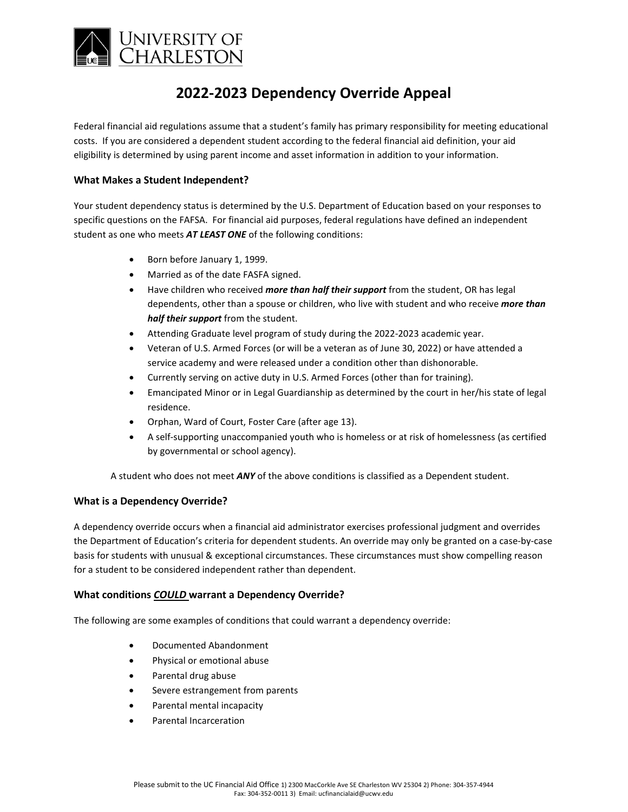

# **2022-2023 Dependency Override Appeal**

Federal financial aid regulations assume that a student's family has primary responsibility for meeting educational costs. If you are considered a dependent student according to the federal financial aid definition, your aid eligibility is determined by using parent income and asset information in addition to your information.

### **What Makes a Student Independent?**

Your student dependency status is determined by the U.S. Department of Education based on your responses to specific questions on the FAFSA. For financial aid purposes, federal regulations have defined an independent student as one who meets *AT LEAST ONE* of the following conditions:

- Born before January 1, 1999.
- Married as of the date FASFA signed.
- Have children who received *more than half their support* from the student, OR has legal dependents, other than a spouse or children, who live with student and who receive *more than half their support* from the student.
- Attending Graduate level program of study during the 2022-2023 academic year.
- Veteran of U.S. Armed Forces (or will be a veteran as of June 30, 2022) or have attended a service academy and were released under a condition other than dishonorable.
- Currently serving on active duty in U.S. Armed Forces (other than for training).
- Emancipated Minor or in Legal Guardianship as determined by the court in her/his state of legal residence.
- Orphan, Ward of Court, Foster Care (after age 13).
- A self-supporting unaccompanied youth who is homeless or at risk of homelessness (as certified by governmental or school agency).

A student who does not meet *ANY* of the above conditions is classified as a Dependent student.

#### **What is a Dependency Override?**

A dependency override occurs when a financial aid administrator exercises professional judgment and overrides the Department of Education's criteria for dependent students. An override may only be granted on a case-by-case basis for students with unusual & exceptional circumstances. These circumstances must show compelling reason for a student to be considered independent rather than dependent.

#### **What conditions** *COULD* **warrant a Dependency Override?**

The following are some examples of conditions that could warrant a dependency override:

- Documented Abandonment
- Physical or emotional abuse
- Parental drug abuse
- Severe estrangement from parents
- Parental mental incapacity
- Parental Incarceration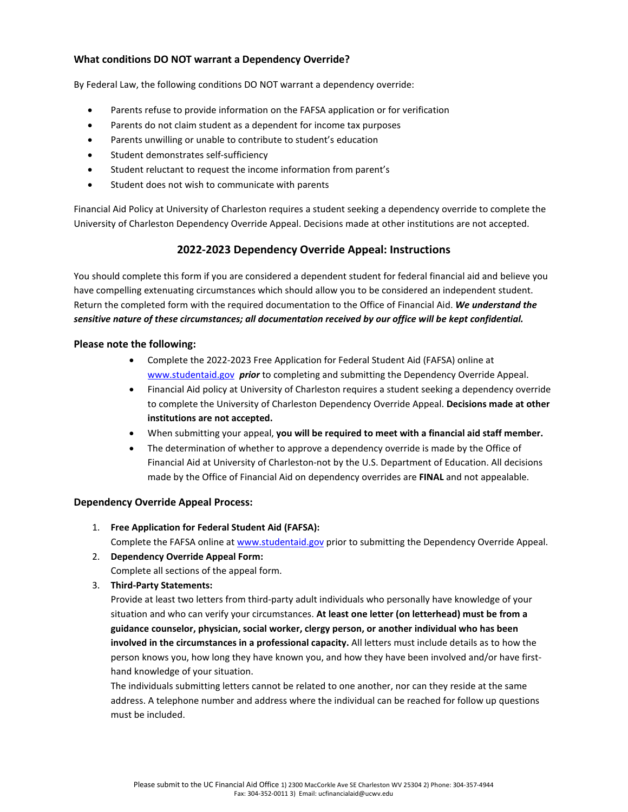## **What conditions DO NOT warrant a Dependency Override?**

By Federal Law, the following conditions DO NOT warrant a dependency override:

- Parents refuse to provide information on the FAFSA application or for verification
- Parents do not claim student as a dependent for income tax purposes
- Parents unwilling or unable to contribute to student's education
- Student demonstrates self-sufficiency
- Student reluctant to request the income information from parent's
- Student does not wish to communicate with parents

Financial Aid Policy at University of Charleston requires a student seeking a dependency override to complete the University of Charleston Dependency Override Appeal. Decisions made at other institutions are not accepted.

## **2022-2023 Dependency Override Appeal: Instructions**

You should complete this form if you are considered a dependent student for federal financial aid and believe you have compelling extenuating circumstances which should allow you to be considered an independent student. Return the completed form with the required documentation to the Office of Financial Aid. *We understand the sensitive nature of these circumstances; all documentation received by our office will be kept confidential.*

#### **Please note the following:**

- Complete the 2022-2023 Free Application for Federal Student Aid (FAFSA) online at [www.studentaid.gov](http://www.studentaid.gov/) *prior* to completing and submitting the Dependency Override Appeal.
- Financial Aid policy at University of Charleston requires a student seeking a dependency override to complete the University of Charleston Dependency Override Appeal. **Decisions made at other institutions are not accepted.**
- When submitting your appeal, **you will be required to meet with a financial aid staff member.**
- The determination of whether to approve a dependency override is made by the Office of Financial Aid at University of Charleston-not by the U.S. Department of Education. All decisions made by the Office of Financial Aid on dependency overrides are **FINAL** and not appealable.

#### **Dependency Override Appeal Process:**

- 1. **Free Application for Federal Student Aid (FAFSA):** Complete the FAFSA online at [www.studentaid.gov](http://www.studentaid.gov/) prior to submitting the Dependency Override Appeal.
- 2. **Dependency Override Appeal Form:** Complete all sections of the appeal form.
- 3. **Third-Party Statements:**

Provide at least two letters from third-party adult individuals who personally have knowledge of your situation and who can verify your circumstances. **At least one letter (on letterhead) must be from a guidance counselor, physician, social worker, clergy person, or another individual who has been involved in the circumstances in a professional capacity.** All letters must include details as to how the person knows you, how long they have known you, and how they have been involved and/or have firsthand knowledge of your situation.

The individuals submitting letters cannot be related to one another, nor can they reside at the same address. A telephone number and address where the individual can be reached for follow up questions must be included.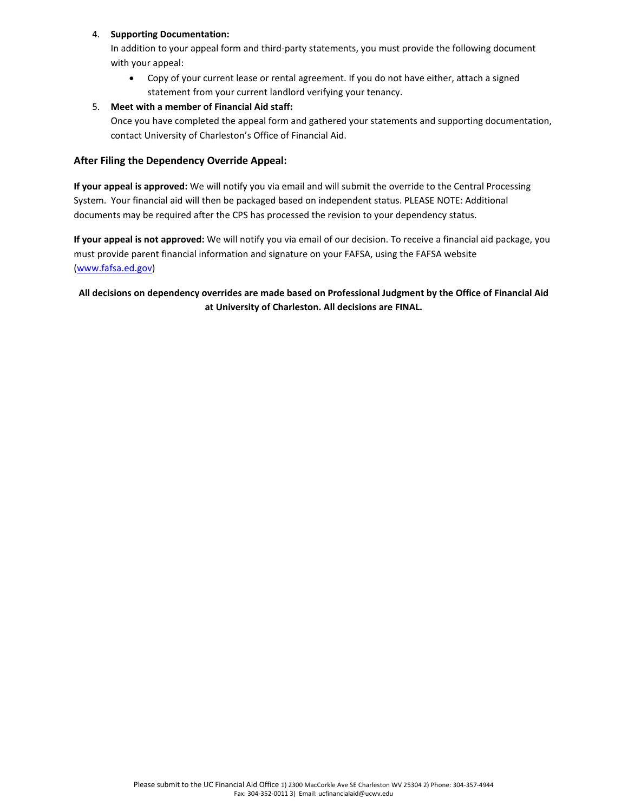#### 4. **Supporting Documentation:**

In addition to your appeal form and third-party statements, you must provide the following document with your appeal:

• Copy of your current lease or rental agreement. If you do not have either, attach a signed statement from your current landlord verifying your tenancy.

### 5. **Meet with a member of Financial Aid staff:**

Once you have completed the appeal form and gathered your statements and supporting documentation, contact University of Charleston's Office of Financial Aid.

### **After Filing the Dependency Override Appeal:**

**If your appeal is approved:** We will notify you via email and will submit the override to the Central Processing System. Your financial aid will then be packaged based on independent status. PLEASE NOTE: Additional documents may be required after the CPS has processed the revision to your dependency status.

**If your appeal is not approved:** We will notify you via email of our decision. To receive a financial aid package, you must provide parent financial information and signature on your FAFSA, using the FAFSA website [\(www.fafsa.ed.gov\)](http://www.fafsa.ed.gov/)

## **All decisions on dependency overrides are made based on Professional Judgment by the Office of Financial Aid at University of Charleston. All decisions are FINAL.**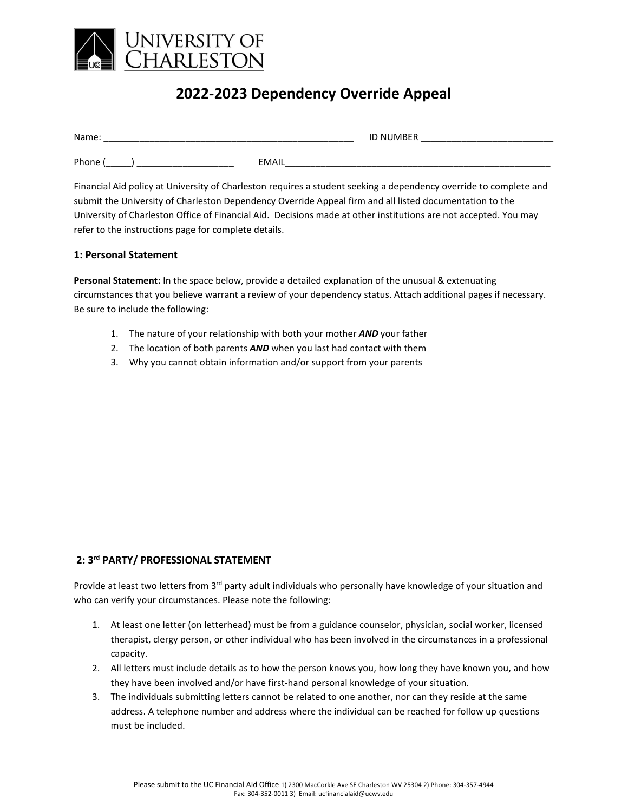

# **2022-2023 Dependency Override Appeal**

| Name: | <b>ID NUMBER</b> |  |
|-------|------------------|--|
| Phone | <b>EMAIL</b>     |  |

Financial Aid policy at University of Charleston requires a student seeking a dependency override to complete and submit the University of Charleston Dependency Override Appeal firm and all listed documentation to the University of Charleston Office of Financial Aid. Decisions made at other institutions are not accepted. You may refer to the instructions page for complete details.

#### **1: Personal Statement**

**Personal Statement:** In the space below, provide a detailed explanation of the unusual & extenuating circumstances that you believe warrant a review of your dependency status. Attach additional pages if necessary. Be sure to include the following:

- 1. The nature of your relationship with both your mother *AND* your father
- 2. The location of both parents *AND* when you last had contact with them
- 3. Why you cannot obtain information and/or support from your parents

#### **2: 3rd PARTY/ PROFESSIONAL STATEMENT**

Provide at least two letters from 3<sup>rd</sup> party adult individuals who personally have knowledge of your situation and who can verify your circumstances. Please note the following:

- 1. At least one letter (on letterhead) must be from a guidance counselor, physician, social worker, licensed therapist, clergy person, or other individual who has been involved in the circumstances in a professional capacity.
- 2. All letters must include details as to how the person knows you, how long they have known you, and how they have been involved and/or have first-hand personal knowledge of your situation.
- 3. The individuals submitting letters cannot be related to one another, nor can they reside at the same address. A telephone number and address where the individual can be reached for follow up questions must be included.